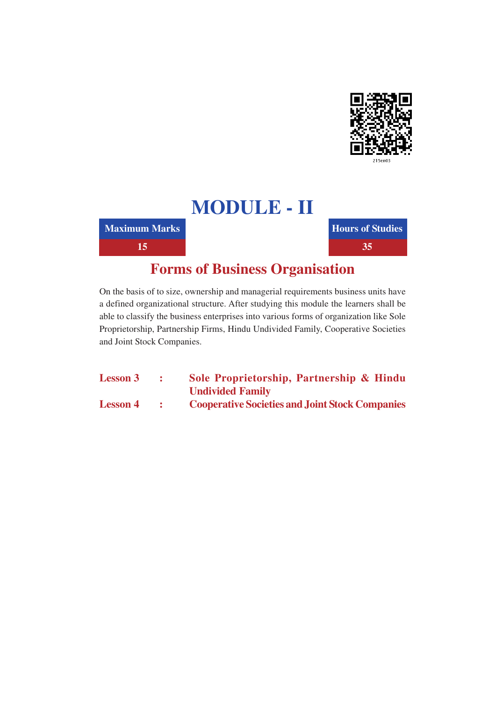

**Maximum Marks** 

15

**Hours of Studies** 35

# **Forms of Business Organisation**

On the basis of to size, ownership and managerial requirements business units have a defined organizational structure. After studying this module the learners shall be able to classify the business enterprises into various forms of organization like Sole Proprietorship, Partnership Firms, Hindu Undivided Family, Cooperative Societies and Joint Stock Companies.

| <b>Lesson 3</b> | Sole Proprietorship, Partnership & Hindu               |
|-----------------|--------------------------------------------------------|
|                 | <b>Undivided Family</b>                                |
| <b>Lesson 4</b> | <b>Cooperative Societies and Joint Stock Companies</b> |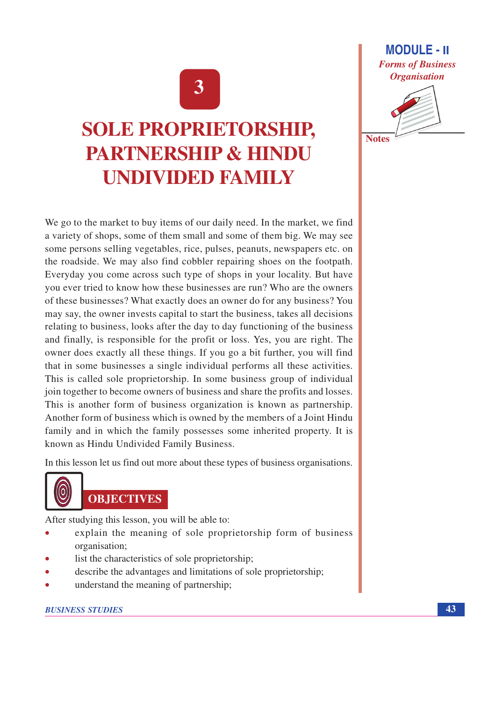# 3

# **SOLE PROPRIETORSHIP, PARTNERSHIP & HINDU UNDIVIDED FAMILY**

We go to the market to buy items of our daily need. In the market, we find a variety of shops, some of them small and some of them big. We may see some persons selling vegetables, rice, pulses, peanuts, newspapers etc. on the roadside. We may also find cobbler repairing shoes on the footpath. Everyday you come across such type of shops in your locality. But have you ever tried to know how these businesses are run? Who are the owners of these businesses? What exactly does an owner do for any business? You may say, the owner invests capital to start the business, takes all decisions relating to business, looks after the day to day functioning of the business and finally, is responsible for the profit or loss. Yes, you are right. The owner does exactly all these things. If you go a bit further, you will find that in some businesses a single individual performs all these activities. This is called sole proprietorship. In some business group of individual join together to become owners of business and share the profits and losses. This is another form of business organization is known as partnership. Another form of business which is owned by the members of a Joint Hindu family and in which the family possesses some inherited property. It is known as Hindu Undivided Family Business.

In this lesson let us find out more about these types of business organisations.



# **OBJECTIVES**

After studying this lesson, you will be able to:

- explain the meaning of sole proprietorship form of business organisation:
- list the characteristics of sole proprietorship;
- describe the advantages and limitations of sole proprietorship;
- understand the meaning of partnership;

### **BUSINESS STUDIES**



**Notes** 

43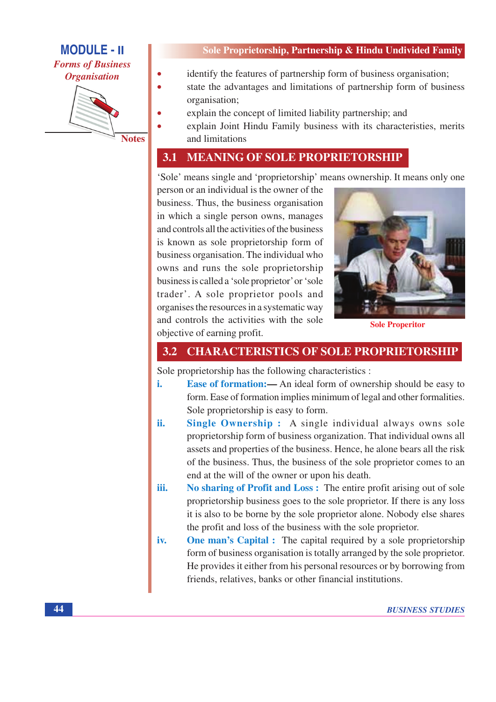**Forms of Business Organisation** 



#### Sole Proprietorship, Partnership & Hindu Undivided Family

- identify the features of partnership form of business organisation;
- state the advantages and limitations of partnership form of business organisation;
- explain the concept of limited liability partnership; and
- explain Joint Hindu Family business with its characteristies, merits and limitations

#### **MEANING OF SOLE PROPRIETORSHIP** 3.1

'Sole' means single and 'proprietorship' means ownership. It means only one

person or an individual is the owner of the business. Thus, the business organisation in which a single person owns, manages and controls all the activities of the business is known as sole proprietorship form of business organisation. The individual who owns and runs the sole proprietorship business is called a 'sole proprietor' or 'sole trader'. A sole proprietor pools and organises the resources in a systematic way and controls the activities with the sole objective of earning profit.



**Sole Properitor** 

### **3.2 CHARACTERISTICS OF SOLE PROPRIETORSHIP**

Sole proprietorship has the following characteristics :

- i. **Ease of formation:** An ideal form of ownership should be easy to form. Ease of formation implies minimum of legal and other formalities. Sole proprietorship is easy to form.
- ii. Single Ownership: A single individual always owns sole proprietorship form of business organization. That individual owns all assets and properties of the business. Hence, he alone bears all the risk of the business. Thus, the business of the sole proprietor comes to an end at the will of the owner or upon his death.
- iii. No sharing of Profit and Loss: The entire profit arising out of sole proprietorship business goes to the sole proprietor. If there is any loss it is also to be borne by the sole proprietor alone. Nobody else shares the profit and loss of the business with the sole proprietor.
- **One man's Capital :** The capital required by a sole proprietorship iv. form of business organisation is totally arranged by the sole proprietor. He provides it either from his personal resources or by borrowing from friends, relatives, banks or other financial institutions.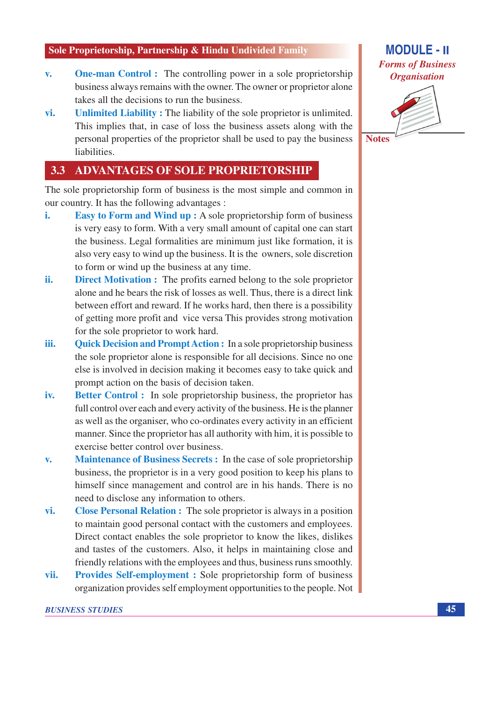- **One-man Control:** The controlling power in a sole proprietorship  $\mathbf{v}$ . business always remains with the owner. The owner or proprietor alone takes all the decisions to run the business.
- vi. Unlimited Liability: The liability of the sole proprietor is unlimited. This implies that, in case of loss the business assets along with the personal properties of the proprietor shall be used to pay the business liabilities.

#### 3.3 **ADVANTAGES OF SOLE PROPRIETORSHIP**

The sole proprietorship form of business is the most simple and common in our country. It has the following advantages :

- **Easy to Form and Wind up :** A sole proprietorship form of business i. is very easy to form. With a very small amount of capital one can start the business. Legal formalities are minimum just like formation, it is also very easy to wind up the business. It is the owners, sole discretion to form or wind up the business at any time.
- ii. **Direct Motivation :** The profits earned belong to the sole proprietor alone and he bears the risk of losses as well. Thus, there is a direct link between effort and reward. If he works hard, then there is a possibility of getting more profit and vice versa This provides strong motivation for the sole proprietor to work hard.
- **Quick Decision and Prompt Action :** In a sole proprietorship business iii. the sole proprietor alone is responsible for all decisions. Since no one else is involved in decision making it becomes easy to take quick and prompt action on the basis of decision taken.
- **Better Control:** In sole proprietorship business, the proprietor has iv. full control over each and every activity of the business. He is the planner as well as the organiser, who co-ordinates every activity in an efficient manner. Since the proprietor has all authority with him, it is possible to exercise better control over business.
- $\overline{\mathbf{v}}$ . Maintenance of Business Secrets : In the case of sole proprietorship business, the proprietor is in a very good position to keep his plans to himself since management and control are in his hands. There is no need to disclose any information to others.
- vi. **Close Personal Relation :** The sole proprietor is always in a position to maintain good personal contact with the customers and employees. Direct contact enables the sole proprietor to know the likes, dislikes and tastes of the customers. Also, it helps in maintaining close and friendly relations with the employees and thus, business runs smoothly.
- **Provides Self-employment : Sole proprietorship form of business** vii. organization provides self employment opportunities to the people. Not



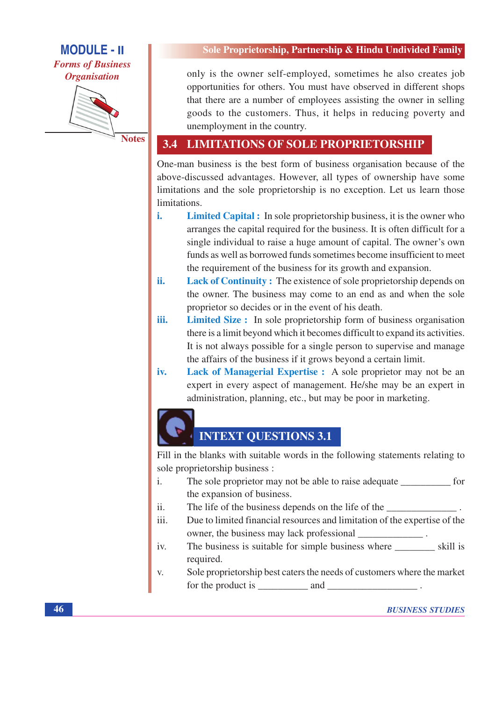**Forms of Business Organisation** 



**Notes** 

#### Sole Proprietorship, Partnership & Hindu Undivided Family

only is the owner self-employed, sometimes he also creates job opportunities for others. You must have observed in different shops that there are a number of employees assisting the owner in selling goods to the customers. Thus, it helps in reducing poverty and unemployment in the country.

#### **LIMITATIONS OF SOLE PROPRIETORSHIP**  $3.4$

One-man business is the best form of business organisation because of the above-discussed advantages. However, all types of ownership have some limitations and the sole proprietorship is no exception. Let us learn those limitations.

- i. **Limited Capital :** In sole proprietorship business, it is the owner who arranges the capital required for the business. It is often difficult for a single individual to raise a huge amount of capital. The owner's own funds as well as borrowed funds sometimes become insufficient to meet the requirement of the business for its growth and expansion.
- Lack of Continuity: The existence of sole proprietorship depends on ii. the owner. The business may come to an end as and when the sole proprietor so decides or in the event of his death.
- Limited Size : In sole proprietorship form of business organisation iii. there is a limit beyond which it becomes difficult to expand its activities. It is not always possible for a single person to supervise and manage the affairs of the business if it grows beyond a certain limit.
- iv. Lack of Managerial Expertise : A sole proprietor may not be an expert in every aspect of management. He/she may be an expert in administration, planning, etc., but may be poor in marketing.

# **INTEXT QUESTIONS 3.1**

Fill in the blanks with suitable words in the following statements relating to sole proprietorship business :

- The sole proprietor may not be able to raise adequate \_\_\_\_\_\_\_\_\_\_\_\_\_ for  $\mathbf{i}$ . the expansion of business.
- The life of the business depends on the life of the  $ii.$
- iii. Due to limited financial resources and limitation of the expertise of the owner, the business may lack professional
- iv. required.
- Sole proprietorship best caters the needs of customers where the market V. for the product is and the product is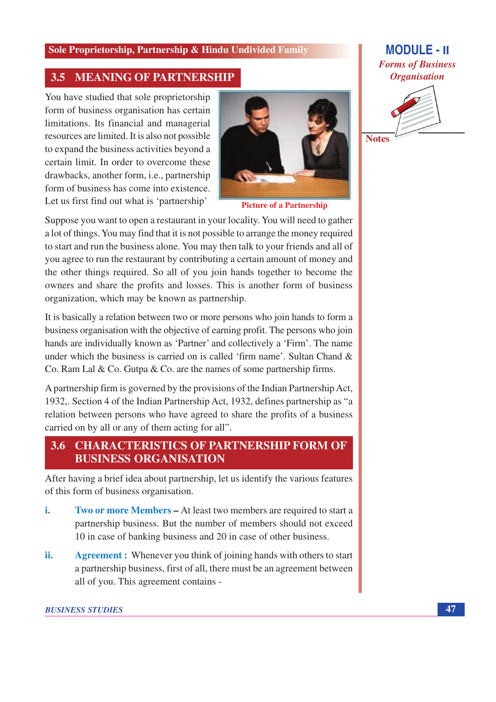#### **MEANING OF PARTNERSHIP** 3.5

You have studied that sole proprietorship form of business organisation has certain limitations. Its financial and managerial resources are limited. It is also not possible to expand the business activities beyond a certain limit. In order to overcome these drawbacks, another form, *i.e.*, partnership form of business has come into existence. Let us first find out what is 'partnership'



**Picture of a Partnership** 

Suppose you want to open a restaurant in your locality. You will need to gather a lot of things. You may find that it is not possible to arrange the money required to start and run the business alone. You may then talk to your friends and all of you agree to run the restaurant by contributing a certain amount of money and the other things required. So all of you join hands together to become the owners and share the profits and losses. This is another form of business organization, which may be known as partnership.

It is basically a relation between two or more persons who join hands to form a business organisation with the objective of earning profit. The persons who join hands are individually known as 'Partner' and collectively a 'Firm'. The name under which the business is carried on is called 'firm name'. Sultan Chand  $\&$ Co. Ram Lal & Co. Gutpa & Co. are the names of some partnership firms.

A partnership firm is governed by the provisions of the Indian Partnership Act, 1932,. Section 4 of the Indian Partnership Act, 1932, defines partnership as "a relation between persons who have agreed to share the profits of a business carried on by all or any of them acting for all".

#### 3.6 **CHARACTERISTICS OF PARTNERSHIP FORM OF BUSINESS ORGANISATION**

After having a brief idea about partnership, let us identify the various features of this form of business organisation.

- i. **Two or more Members – At least two members are required to start a** partnership business. But the number of members should not exceed 10 in case of banking business and 20 in case of other business.
- Agreement : Whenever you think of joining hands with others to start ii. a partnership business, first of all, there must be an agreement between all of you. This agreement contains -

#### **BUSINESS STUDIES**

# **MODULE - II Forms of Business Organisation**



**Notes**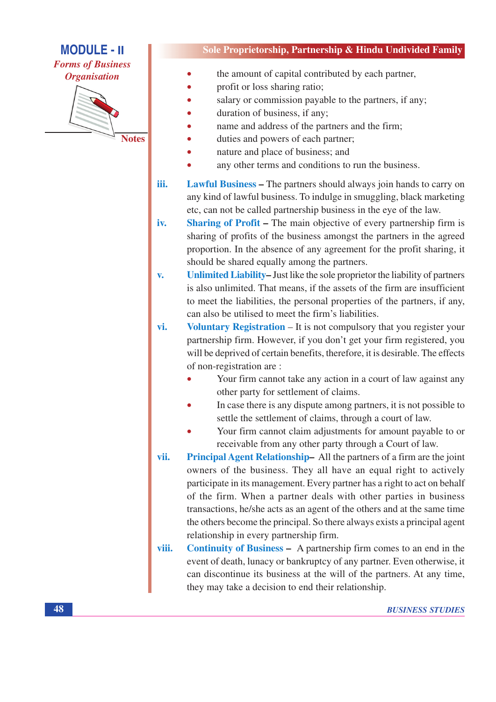**Forms of Business Organisation** 



Sole Proprietorship, Partnership & Hindu Undivided Family

- the amount of capital contributed by each partner,
- profit or loss sharing ratio;
- salary or commission payable to the partners, if any;
- duration of business, if any;
- name and address of the partners and the firm;
- duties and powers of each partner;
- nature and place of business; and
- any other terms and conditions to run the business.
- **Lawful Business The partners should always join hands to carry on** iii. any kind of lawful business. To indulge in smuggling, black marketing etc, can not be called partnership business in the eye of the law.
- **Sharing of Profit The main objective of every partnership firm is** iv. sharing of profits of the business amongst the partners in the agreed proportion. In the absence of any agreement for the profit sharing, it should be shared equally among the partners.
- Unlimited Liability–Just like the sole proprietor the liability of partners  $\overline{\mathbf{v}}$ . is also unlimited. That means, if the assets of the firm are insufficient to meet the liabilities, the personal properties of the partners, if any, can also be utilised to meet the firm's liabilities.
- Voluntary Registration It is not compulsory that you register your vi. partnership firm. However, if you don't get your firm registered, you will be deprived of certain benefits, therefore, it is desirable. The effects of non-registration are:
	- Your firm cannot take any action in a court of law against any other party for settlement of claims.
	- In case there is any dispute among partners, it is not possible to settle the settlement of claims, through a court of law.
	- Your firm cannot claim adjustments for amount payable to or receivable from any other party through a Court of law.
- Principal Agent Relationship-All the partners of a firm are the joint vii. owners of the business. They all have an equal right to actively participate in its management. Every partner has a right to act on behalf of the firm. When a partner deals with other parties in business transactions, he/she acts as an agent of the others and at the same time the others become the principal. So there always exists a principal agent relationship in every partnership firm.
- **Continuity of Business -** A partnership firm comes to an end in the viii. event of death, lunacy or bankruptcy of any partner. Even otherwise, it can discontinue its business at the will of the partners. At any time, they may take a decision to end their relationship.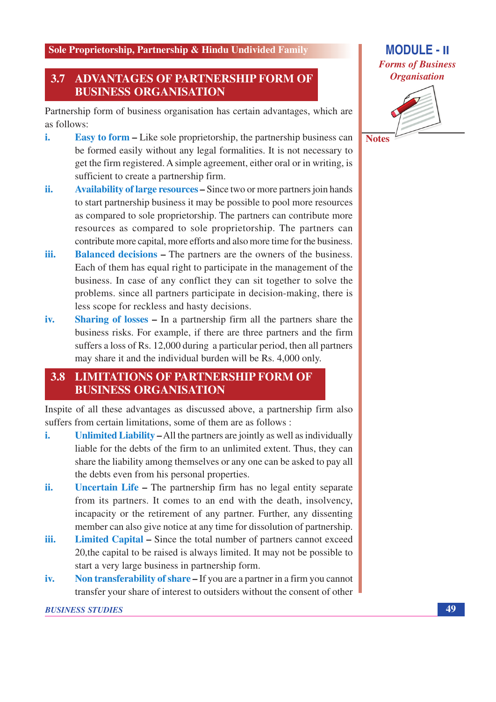#### 3.7 **ADVANTAGES OF PARTNERSHIP FORM OF BUSINESS ORGANISATION**

Partnership form of business organisation has certain advantages, which are as follows:

- i. **Easy to form – Like sole proprietorship, the partnership business can** be formed easily without any legal formalities. It is not necessary to get the firm registered. A simple agreement, either oral or in writing, is sufficient to create a partnership firm.
- Availability of large resources Since two or more partners join hands ii. to start partnership business it may be possible to pool more resources as compared to sole proprietorship. The partners can contribute more resources as compared to sole proprietorship. The partners can contribute more capital, more efforts and also more time for the business.
- **Balanced decisions The partners are the owners of the business.** iii. Each of them has equal right to participate in the management of the business. In case of any conflict they can sit together to solve the problems, since all partners participate in decision-making, there is less scope for reckless and hasty decisions.
- iv. **Sharing of losses – In a partnership firm all the partners share the** business risks. For example, if there are three partners and the firm suffers a loss of Rs. 12,000 during a particular period, then all partners may share it and the individual burden will be Rs. 4,000 only.

## **3.8 LIMITATIONS OF PARTNERSHIP FORM OF BUSINESS ORGANISATION**

Inspite of all these advantages as discussed above, a partnership firm also suffers from certain limitations, some of them are as follows:

- i. Unlimited Liability – All the partners are jointly as well as individually liable for the debts of the firm to an unlimited extent. Thus, they can share the liability among themselves or any one can be asked to pay all the debts even from his personal properties.
- ii. Uncertain Life – The partnership firm has no legal entity separate from its partners. It comes to an end with the death, insolvency, incapacity or the retirement of any partner. Further, any dissenting member can also give notice at any time for dissolution of partnership.
- iii. **Limited Capital – Since the total number of partners cannot exceed** 20, the capital to be raised is always limited. It may not be possible to start a very large business in partnership form.
- iv. **Non transferability of share – If you are a partner in a firm you cannot** transfer your share of interest to outsiders without the consent of other



**Notes** 

49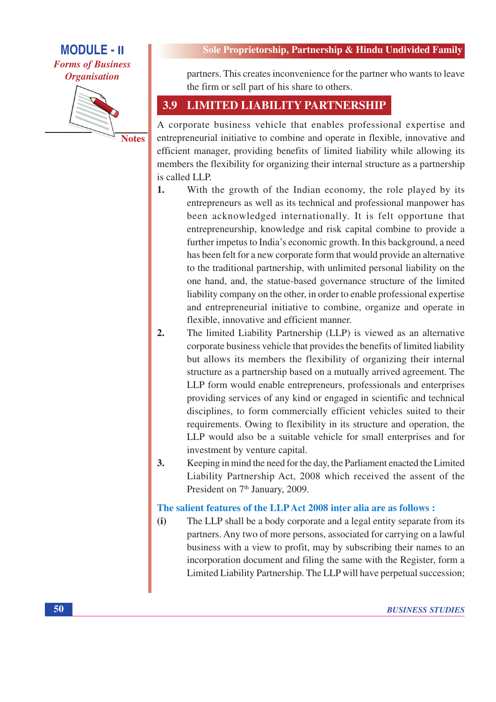**Forms of Business Organisation** 



**Notes** 

#### Sole Proprietorship, Partnership & Hindu Undivided Family

partners. This creates inconvenience for the partner who wants to leave the firm or sell part of his share to others.

#### 3.9 **LIMITED LIABILITY PARTNERSHIP**

A corporate business vehicle that enables professional expertise and entrepreneurial initiative to combine and operate in flexible, innovative and efficient manager, providing benefits of limited liability while allowing its members the flexibility for organizing their internal structure as a partnership is called LLP.

- $\mathbf{1}$ . With the growth of the Indian economy, the role played by its entrepreneurs as well as its technical and professional manpower has been acknowledged internationally. It is felt opportune that entrepreneurship, knowledge and risk capital combine to provide a further impetus to India's economic growth. In this background, a need has been felt for a new corporate form that would provide an alternative to the traditional partnership, with unlimited personal liability on the one hand, and, the statue-based governance structure of the limited liability company on the other, in order to enable professional expertise and entrepreneurial initiative to combine, organize and operate in flexible, innovative and efficient manner.
- $2.$ The limited Liability Partnership (LLP) is viewed as an alternative corporate business vehicle that provides the benefits of limited liability but allows its members the flexibility of organizing their internal structure as a partnership based on a mutually arrived agreement. The LLP form would enable entrepreneurs, professionals and enterprises providing services of any kind or engaged in scientific and technical disciplines, to form commercially efficient vehicles suited to their requirements. Owing to flexibility in its structure and operation, the LLP would also be a suitable vehicle for small enterprises and for investment by venture capital.
- $\overline{3}$ . Keeping in mind the need for the day, the Parliament enacted the Limited Liability Partnership Act, 2008 which received the assent of the President on 7<sup>th</sup> January, 2009.

#### The salient features of the LLP Act 2008 inter alia are as follows :

The LLP shall be a body corporate and a legal entity separate from its  $(i)$ partners. Any two of more persons, associated for carrying on a lawful business with a view to profit, may by subscribing their names to an incorporation document and filing the same with the Register, form a Limited Liability Partnership. The LLP will have perpetual succession;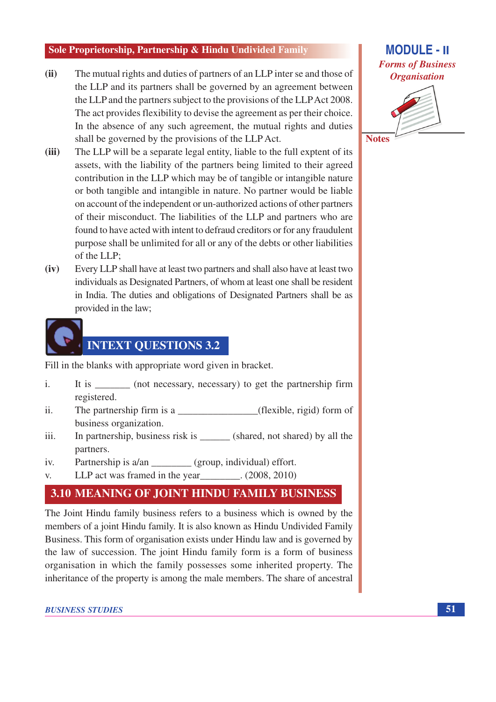- The mutual rights and duties of partners of an LLP inter se and those of  $(ii)$ the LLP and its partners shall be governed by an agreement between the LLP and the partners subject to the provisions of the LLP Act 2008. The act provides flexibility to devise the agreement as per their choice. In the absence of any such agreement, the mutual rights and duties shall be governed by the provisions of the LLP Act.
- The LLP will be a separate legal entity, liable to the full exptent of its  $(iii)$ assets, with the liability of the partners being limited to their agreed contribution in the LLP which may be of tangible or intangible nature or both tangible and intangible in nature. No partner would be liable on account of the independent or un-authorized actions of other partners of their misconduct. The liabilities of the LLP and partners who are found to have acted with intent to defraud creditors or for any fraudulent purpose shall be unlimited for all or any of the debts or other liabilities of the LLP;
- $(iv)$ Every LLP shall have at least two partners and shall also have at least two individuals as Designated Partners, of whom at least one shall be resident in India. The duties and obligations of Designated Partners shall be as provided in the law;



Fill in the blanks with appropriate word given in bracket.

- $\mathbf{i}$ . It is \_\_\_\_\_\_\_\_ (not necessary, necessary) to get the partnership firm registered.
- The partnership firm is a \_\_\_\_\_\_\_\_\_\_\_\_\_\_\_\_\_\_\_\_(flexible, rigid) form of  $ii.$ business organization.
- In partnership, business risk is \_\_\_\_\_\_\_ (shared, not shared) by all the iii. partners.
- Partnership is a/an (group, individual) effort.  $iv.$
- LLP act was framed in the year  $V_{\cdot}$  $(2008, 2010)$

## 3.10 MEANING OF JOINT HINDU FAMILY BUSINESS

The Joint Hindu family business refers to a business which is owned by the members of a joint Hindu family. It is also known as Hindu Undivided Family Business. This form of organisation exists under Hindu law and is governed by the law of succession. The joint Hindu family form is a form of business organisation in which the family possesses some inherited property. The inheritance of the property is among the male members. The share of ancestral



**Notes**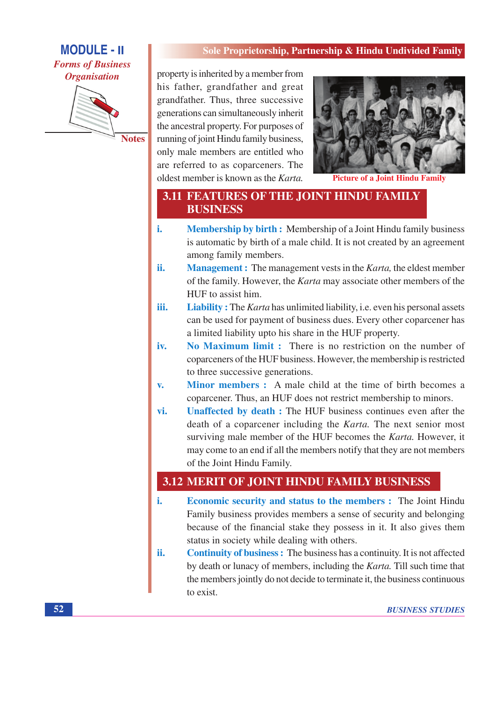# **MODULE - II Forms of Business Organisation**



Sole Proprietorship, Partnership & Hindu Undivided Family

property is inherited by a member from his father, grandfather and great grandfather. Thus, three successive generations can simultaneously inherit the ancestral property. For purposes of running of joint Hindu family business, only male members are entitled who are referred to as coparceners. The oldest member is known as the Karta.



**Picture of a Joint Hindu Family** 

## **3.11 FEATURES OF THE JOINT HINDU FAMILY BUSINESS**

- i. **Membership by birth:** Membership of a Joint Hindu family business is automatic by birth of a male child. It is not created by an agreement among family members.
- ii. **Management :** The management vests in the *Karta*, the eldest member of the family. However, the *Karta* may associate other members of the HUF to assist him.
- iii. **Liability:** The *Karta* has unlimited liability, i.e. even his personal assets can be used for payment of business dues. Every other coparcener has a limited liability upto his share in the HUF property.
- No Maximum limit : There is no restriction on the number of iv. coparceners of the HUF business. However, the membership is restricted to three successive generations.
- Minor members: A male child at the time of birth becomes a  $\mathbf{v}$ . coparcener. Thus, an HUF does not restrict membership to minors.
- Unaffected by death : The HUF business continues even after the vi. death of a coparcener including the *Karta*. The next senior most surviving male member of the HUF becomes the Karta. However, it may come to an end if all the members notify that they are not members of the Joint Hindu Family.

# 3.12 MERIT OF JOINT HINDU FAMILY BUSINESS

- i. **Economic security and status to the members :** The Joint Hindu Family business provides members a sense of security and belonging because of the financial stake they possess in it. It also gives them status in society while dealing with others.
- **Continuity of business :** The business has a continuity. It is not affected ii. by death or lunacy of members, including the Karta. Till such time that the members jointly do not decide to terminate it, the business continuous to exist.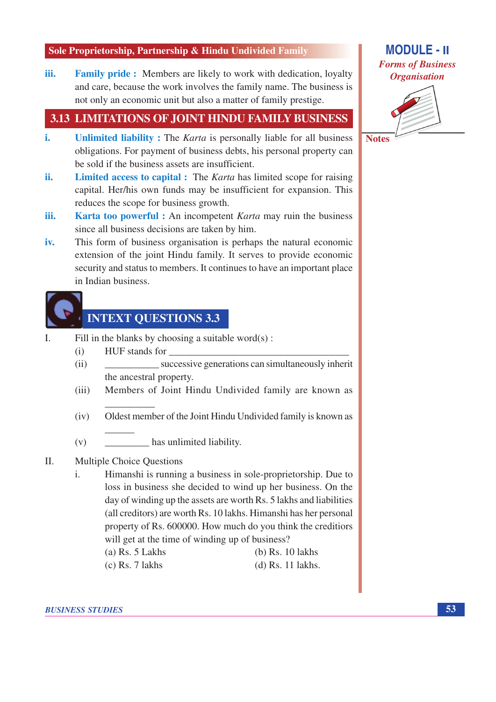**Family pride:** Members are likely to work with dedication, loyalty iii. and care, because the work involves the family name. The business is not only an economic unit but also a matter of family prestige.

## 3.13 LIMITATIONS OF JOINT HINDU FAMILY BUSINESS

- i. **Unlimited liability:** The *Karta* is personally liable for all business obligations. For payment of business debts, his personal property can be sold if the business assets are insufficient.
- ii. **Limited access to capital :** The *Karta* has limited scope for raising capital. Her/his own funds may be insufficient for expansion. This reduces the scope for business growth.
- iii. **Karta too powerful**: An incompetent *Karta* may ruin the business since all business decisions are taken by him.
- This form of business organisation is perhaps the natural economic iv. extension of the joint Hindu family. It serves to provide economic security and status to members. It continues to have an important place in Indian business.



# **INTEXT QUESTIONS 3.3**

- Fill in the blanks by choosing a suitable word $(s)$ : L.
	- HUF stands for  $(i)$
	- successive generations can simultaneously inherit  $(ii)$ the ancestral property.
	- Members of Joint Hindu Undivided family are known as  $(iii)$
	- $(iv)$ Oldest member of the Joint Hindu Undivided family is known as
	- has unlimited liability.  $(v)$

#### **Multiple Choice Ouestions**  $\Pi$ .

- Himanshi is running a business in sole-proprietorship. Due to  $\mathbf{i}$ . loss in business she decided to wind up her business. On the day of winding up the assets are worth Rs. 5 lakhs and liabilities (all creditors) are worth Rs. 10 lakhs. Himanshi has her personal property of Rs. 600000. How much do you think the creditions will get at the time of winding up of business?  $(a)$  Rs. 5 Lakhs  $(b)$  Rs. 10 lakhs
	- $(c)$  Rs. 7 lakhs  $(d)$  Rs. 11 lakhs.

**BUSINESS STUDIES** 

# **MODULE - II Forms of Business Organisation**



**Notes**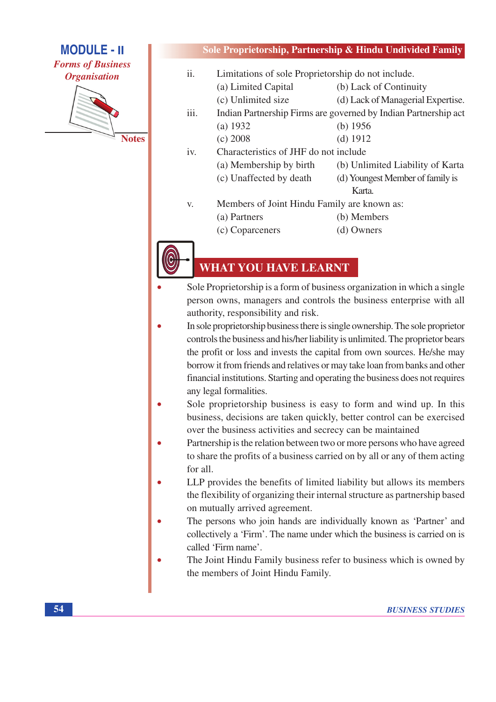**Forms of Business Organisation** 



**Notes** 

### Sole Proprietorship, Partnership & Hindu Undivided Family

| ii.  | Limitations of sole Proprietorship do not include.              |                                   |  |  |
|------|-----------------------------------------------------------------|-----------------------------------|--|--|
|      | (a) Limited Capital                                             | (b) Lack of Continuity            |  |  |
|      | (c) Unlimited size                                              | (d) Lack of Managerial Expertise. |  |  |
| iii. | Indian Partnership Firms are governed by Indian Partnership act |                                   |  |  |
|      | (a) 1932                                                        | (b) $1956$                        |  |  |
|      | $(c)$ 2008                                                      | $(d)$ 1912                        |  |  |
| iv.  | Characteristics of JHF do not include                           |                                   |  |  |
|      | (a) Membership by birth                                         | (b) Unlimited Liability of Karta  |  |  |
|      | (c) Unaffected by death                                         | (d) Youngest Member of family is  |  |  |
|      |                                                                 | Karta.                            |  |  |
| V.   | Members of Joint Hindu Family are known as:                     |                                   |  |  |
|      | (a) Partners                                                    | (b) Members                       |  |  |
|      |                                                                 |                                   |  |  |

- (c) Coparceners
- (d) Owners

# **WHAT YOU HAVE LEARNT**

- Sole Proprietorship is a form of business organization in which a single person owns, managers and controls the business enterprise with all authority, responsibility and risk.
- In sole proprietorship business there is single ownership. The sole proprietor controls the business and his/her liability is unlimited. The proprietor bears the profit or loss and invests the capital from own sources. He/she may borrow it from friends and relatives or may take loan from banks and other financial institutions. Starting and operating the business does not requires any legal formalities.
- Sole proprietorship business is easy to form and wind up. In this business, decisions are taken quickly, better control can be exercised over the business activities and secrecy can be maintained
- Partnership is the relation between two or more persons who have agreed to share the profits of a business carried on by all or any of them acting for all.
- LLP provides the benefits of limited liability but allows its members the flexibility of organizing their internal structure as partnership based on mutually arrived agreement.
- The persons who join hands are individually known as 'Partner' and collectively a 'Firm'. The name under which the business is carried on is called 'Firm name'.
- The Joint Hindu Family business refer to business which is owned by the members of Joint Hindu Family.